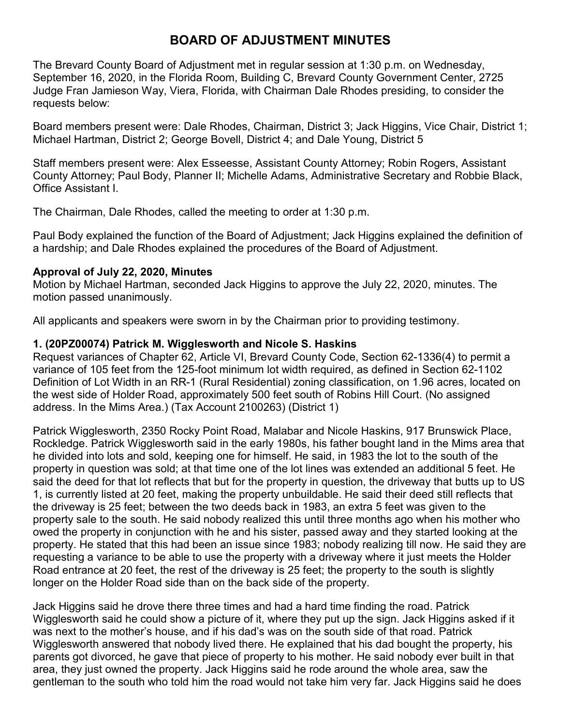# **BOARD OF ADJUSTMENT MINUTES**

The Brevard County Board of Adjustment met in regular session at 1:30 p.m. on Wednesday, September 16, 2020, in the Florida Room, Building C, Brevard County Government Center, 2725 Judge Fran Jamieson Way, Viera, Florida, with Chairman Dale Rhodes presiding, to consider the requests below:

Board members present were: Dale Rhodes, Chairman, District 3; Jack Higgins, Vice Chair, District 1; Michael Hartman, District 2; George Bovell, District 4; and Dale Young, District 5

Staff members present were: Alex Esseesse, Assistant County Attorney; Robin Rogers, Assistant County Attorney; Paul Body, Planner II; Michelle Adams, Administrative Secretary and Robbie Black, Office Assistant I.

The Chairman, Dale Rhodes, called the meeting to order at 1:30 p.m.

Paul Body explained the function of the Board of Adjustment; Jack Higgins explained the definition of a hardship; and Dale Rhodes explained the procedures of the Board of Adjustment.

## **Approval of July 22, 2020, Minutes**

Motion by Michael Hartman, seconded Jack Higgins to approve the July 22, 2020, minutes. The motion passed unanimously.

All applicants and speakers were sworn in by the Chairman prior to providing testimony.

## **1. (20PZ00074) Patrick M. Wigglesworth and Nicole S. Haskins**

Request variances of Chapter 62, Article VI, Brevard County Code, Section 62-1336(4) to permit a variance of 105 feet from the 125-foot minimum lot width required, as defined in Section 62-1102 Definition of Lot Width in an RR-1 (Rural Residential) zoning classification, on 1.96 acres, located on the west side of Holder Road, approximately 500 feet south of Robins Hill Court. (No assigned address. In the Mims Area.) (Tax Account 2100263) (District 1)

Patrick Wigglesworth, 2350 Rocky Point Road, Malabar and Nicole Haskins, 917 Brunswick Place, Rockledge. Patrick Wigglesworth said in the early 1980s, his father bought land in the Mims area that he divided into lots and sold, keeping one for himself. He said, in 1983 the lot to the south of the property in question was sold; at that time one of the lot lines was extended an additional 5 feet. He said the deed for that lot reflects that but for the property in question, the driveway that butts up to US 1, is currently listed at 20 feet, making the property unbuildable. He said their deed still reflects that the driveway is 25 feet; between the two deeds back in 1983, an extra 5 feet was given to the property sale to the south. He said nobody realized this until three months ago when his mother who owed the property in conjunction with he and his sister, passed away and they started looking at the property. He stated that this had been an issue since 1983; nobody realizing till now. He said they are requesting a variance to be able to use the property with a driveway where it just meets the Holder Road entrance at 20 feet, the rest of the driveway is 25 feet; the property to the south is slightly longer on the Holder Road side than on the back side of the property.

Jack Higgins said he drove there three times and had a hard time finding the road. Patrick Wigglesworth said he could show a picture of it, where they put up the sign. Jack Higgins asked if it was next to the mother's house, and if his dad's was on the south side of that road. Patrick Wigglesworth answered that nobody lived there. He explained that his dad bought the property, his parents got divorced, he gave that piece of property to his mother. He said nobody ever built in that area, they just owned the property. Jack Higgins said he rode around the whole area, saw the gentleman to the south who told him the road would not take him very far. Jack Higgins said he does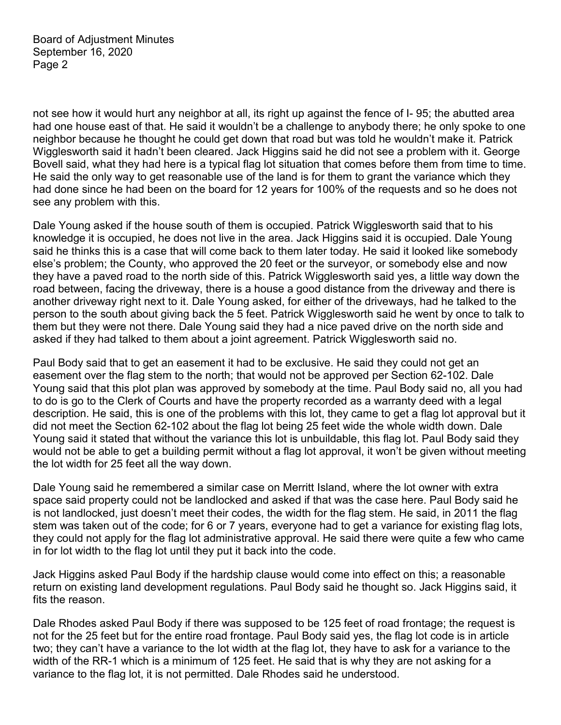not see how it would hurt any neighbor at all, its right up against the fence of I- 95; the abutted area had one house east of that. He said it wouldn't be a challenge to anybody there; he only spoke to one neighbor because he thought he could get down that road but was told he wouldn't make it. Patrick Wigglesworth said it hadn't been cleared. Jack Higgins said he did not see a problem with it. George Bovell said, what they had here is a typical flag lot situation that comes before them from time to time. He said the only way to get reasonable use of the land is for them to grant the variance which they had done since he had been on the board for 12 years for 100% of the requests and so he does not see any problem with this.

Dale Young asked if the house south of them is occupied. Patrick Wigglesworth said that to his knowledge it is occupied, he does not live in the area. Jack Higgins said it is occupied. Dale Young said he thinks this is a case that will come back to them later today. He said it looked like somebody else's problem; the County, who approved the 20 feet or the surveyor, or somebody else and now they have a paved road to the north side of this. Patrick Wigglesworth said yes, a little way down the road between, facing the driveway, there is a house a good distance from the driveway and there is another driveway right next to it. Dale Young asked, for either of the driveways, had he talked to the person to the south about giving back the 5 feet. Patrick Wigglesworth said he went by once to talk to them but they were not there. Dale Young said they had a nice paved drive on the north side and asked if they had talked to them about a joint agreement. Patrick Wigglesworth said no.

Paul Body said that to get an easement it had to be exclusive. He said they could not get an easement over the flag stem to the north; that would not be approved per Section 62-102. Dale Young said that this plot plan was approved by somebody at the time. Paul Body said no, all you had to do is go to the Clerk of Courts and have the property recorded as a warranty deed with a legal description. He said, this is one of the problems with this lot, they came to get a flag lot approval but it did not meet the Section 62-102 about the flag lot being 25 feet wide the whole width down. Dale Young said it stated that without the variance this lot is unbuildable, this flag lot. Paul Body said they would not be able to get a building permit without a flag lot approval, it won't be given without meeting the lot width for 25 feet all the way down.

Dale Young said he remembered a similar case on Merritt Island, where the lot owner with extra space said property could not be landlocked and asked if that was the case here. Paul Body said he is not landlocked, just doesn't meet their codes, the width for the flag stem. He said, in 2011 the flag stem was taken out of the code; for 6 or 7 years, everyone had to get a variance for existing flag lots, they could not apply for the flag lot administrative approval. He said there were quite a few who came in for lot width to the flag lot until they put it back into the code.

Jack Higgins asked Paul Body if the hardship clause would come into effect on this; a reasonable return on existing land development regulations. Paul Body said he thought so. Jack Higgins said, it fits the reason.

Dale Rhodes asked Paul Body if there was supposed to be 125 feet of road frontage; the request is not for the 25 feet but for the entire road frontage. Paul Body said yes, the flag lot code is in article two; they can't have a variance to the lot width at the flag lot, they have to ask for a variance to the width of the RR-1 which is a minimum of 125 feet. He said that is why they are not asking for a variance to the flag lot, it is not permitted. Dale Rhodes said he understood.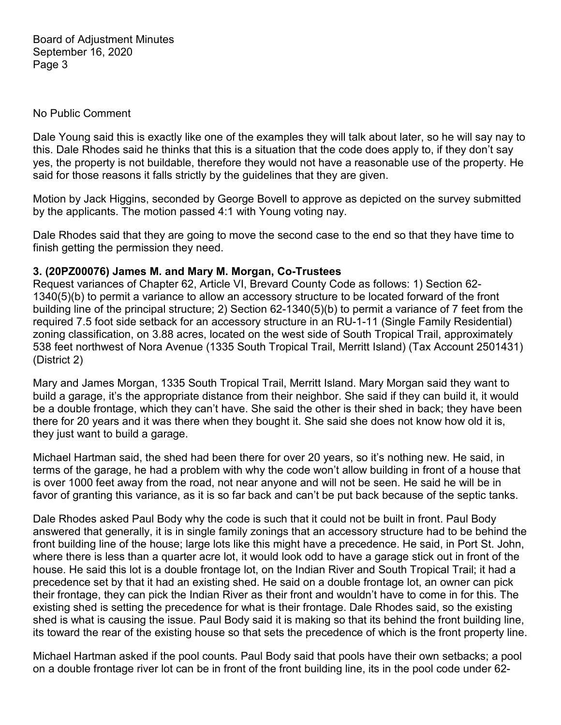#### No Public Comment

Dale Young said this is exactly like one of the examples they will talk about later, so he will say nay to this. Dale Rhodes said he thinks that this is a situation that the code does apply to, if they don't say yes, the property is not buildable, therefore they would not have a reasonable use of the property. He said for those reasons it falls strictly by the guidelines that they are given.

Motion by Jack Higgins, seconded by George Bovell to approve as depicted on the survey submitted by the applicants. The motion passed 4:1 with Young voting nay.

Dale Rhodes said that they are going to move the second case to the end so that they have time to finish getting the permission they need.

#### **3. (20PZ00076) James M. and Mary M. Morgan, Co-Trustees**

Request variances of Chapter 62, Article VI, Brevard County Code as follows: 1) Section 62- 1340(5)(b) to permit a variance to allow an accessory structure to be located forward of the front building line of the principal structure; 2) Section 62-1340(5)(b) to permit a variance of 7 feet from the required 7.5 foot side setback for an accessory structure in an RU-1-11 (Single Family Residential) zoning classification, on 3.88 acres, located on the west side of South Tropical Trail, approximately 538 feet northwest of Nora Avenue (1335 South Tropical Trail, Merritt Island) (Tax Account 2501431) (District 2)

Mary and James Morgan, 1335 South Tropical Trail, Merritt Island. Mary Morgan said they want to build a garage, it's the appropriate distance from their neighbor. She said if they can build it, it would be a double frontage, which they can't have. She said the other is their shed in back; they have been there for 20 years and it was there when they bought it. She said she does not know how old it is, they just want to build a garage.

Michael Hartman said, the shed had been there for over 20 years, so it's nothing new. He said, in terms of the garage, he had a problem with why the code won't allow building in front of a house that is over 1000 feet away from the road, not near anyone and will not be seen. He said he will be in favor of granting this variance, as it is so far back and can't be put back because of the septic tanks.

Dale Rhodes asked Paul Body why the code is such that it could not be built in front. Paul Body answered that generally, it is in single family zonings that an accessory structure had to be behind the front building line of the house; large lots like this might have a precedence. He said, in Port St. John, where there is less than a quarter acre lot, it would look odd to have a garage stick out in front of the house. He said this lot is a double frontage lot, on the Indian River and South Tropical Trail; it had a precedence set by that it had an existing shed. He said on a double frontage lot, an owner can pick their frontage, they can pick the Indian River as their front and wouldn't have to come in for this. The existing shed is setting the precedence for what is their frontage. Dale Rhodes said, so the existing shed is what is causing the issue. Paul Body said it is making so that its behind the front building line, its toward the rear of the existing house so that sets the precedence of which is the front property line.

Michael Hartman asked if the pool counts. Paul Body said that pools have their own setbacks; a pool on a double frontage river lot can be in front of the front building line, its in the pool code under 62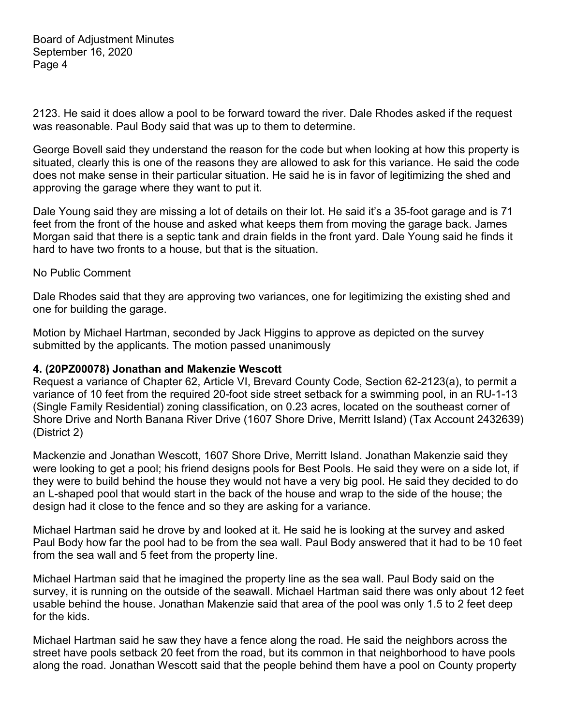2123. He said it does allow a pool to be forward toward the river. Dale Rhodes asked if the request was reasonable. Paul Body said that was up to them to determine.

George Bovell said they understand the reason for the code but when looking at how this property is situated, clearly this is one of the reasons they are allowed to ask for this variance. He said the code does not make sense in their particular situation. He said he is in favor of legitimizing the shed and approving the garage where they want to put it.

Dale Young said they are missing a lot of details on their lot. He said it's a 35-foot garage and is 71 feet from the front of the house and asked what keeps them from moving the garage back. James Morgan said that there is a septic tank and drain fields in the front yard. Dale Young said he finds it hard to have two fronts to a house, but that is the situation.

#### No Public Comment

Dale Rhodes said that they are approving two variances, one for legitimizing the existing shed and one for building the garage.

Motion by Michael Hartman, seconded by Jack Higgins to approve as depicted on the survey submitted by the applicants. The motion passed unanimously

#### **4. (20PZ00078) Jonathan and Makenzie Wescott**

Request a variance of Chapter 62, Article VI, Brevard County Code, Section 62-2123(a), to permit a variance of 10 feet from the required 20-foot side street setback for a swimming pool, in an RU-1-13 (Single Family Residential) zoning classification, on 0.23 acres, located on the southeast corner of Shore Drive and North Banana River Drive (1607 Shore Drive, Merritt Island) (Tax Account 2432639) (District 2)

Mackenzie and Jonathan Wescott, 1607 Shore Drive, Merritt Island. Jonathan Makenzie said they were looking to get a pool; his friend designs pools for Best Pools. He said they were on a side lot, if they were to build behind the house they would not have a very big pool. He said they decided to do an L-shaped pool that would start in the back of the house and wrap to the side of the house; the design had it close to the fence and so they are asking for a variance.

Michael Hartman said he drove by and looked at it. He said he is looking at the survey and asked Paul Body how far the pool had to be from the sea wall. Paul Body answered that it had to be 10 feet from the sea wall and 5 feet from the property line.

Michael Hartman said that he imagined the property line as the sea wall. Paul Body said on the survey, it is running on the outside of the seawall. Michael Hartman said there was only about 12 feet usable behind the house. Jonathan Makenzie said that area of the pool was only 1.5 to 2 feet deep for the kids.

Michael Hartman said he saw they have a fence along the road. He said the neighbors across the street have pools setback 20 feet from the road, but its common in that neighborhood to have pools along the road. Jonathan Wescott said that the people behind them have a pool on County property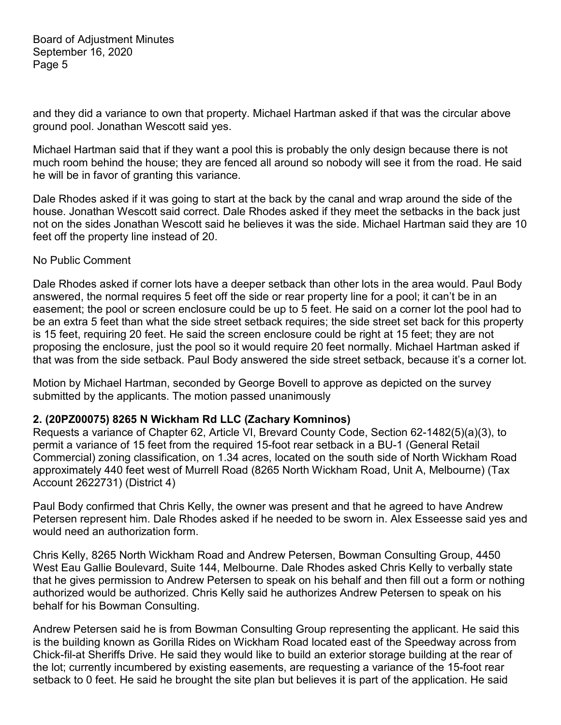and they did a variance to own that property. Michael Hartman asked if that was the circular above ground pool. Jonathan Wescott said yes.

Michael Hartman said that if they want a pool this is probably the only design because there is not much room behind the house; they are fenced all around so nobody will see it from the road. He said he will be in favor of granting this variance.

Dale Rhodes asked if it was going to start at the back by the canal and wrap around the side of the house. Jonathan Wescott said correct. Dale Rhodes asked if they meet the setbacks in the back just not on the sides Jonathan Wescott said he believes it was the side. Michael Hartman said they are 10 feet off the property line instead of 20.

#### No Public Comment

Dale Rhodes asked if corner lots have a deeper setback than other lots in the area would. Paul Body answered, the normal requires 5 feet off the side or rear property line for a pool; it can't be in an easement; the pool or screen enclosure could be up to 5 feet. He said on a corner lot the pool had to be an extra 5 feet than what the side street setback requires; the side street set back for this property is 15 feet, requiring 20 feet. He said the screen enclosure could be right at 15 feet; they are not proposing the enclosure, just the pool so it would require 20 feet normally. Michael Hartman asked if that was from the side setback. Paul Body answered the side street setback, because it's a corner lot.

Motion by Michael Hartman, seconded by George Bovell to approve as depicted on the survey submitted by the applicants. The motion passed unanimously

#### **2. (20PZ00075) 8265 N Wickham Rd LLC (Zachary Komninos)**

Requests a variance of Chapter 62, Article VI, Brevard County Code, Section 62-1482(5)(a)(3), to permit a variance of 15 feet from the required 15-foot rear setback in a BU-1 (General Retail Commercial) zoning classification, on 1.34 acres, located on the south side of North Wickham Road approximately 440 feet west of Murrell Road (8265 North Wickham Road, Unit A, Melbourne) (Tax Account 2622731) (District 4)

Paul Body confirmed that Chris Kelly, the owner was present and that he agreed to have Andrew Petersen represent him. Dale Rhodes asked if he needed to be sworn in. Alex Esseesse said yes and would need an authorization form.

Chris Kelly, 8265 North Wickham Road and Andrew Petersen, Bowman Consulting Group, 4450 West Eau Gallie Boulevard, Suite 144, Melbourne. Dale Rhodes asked Chris Kelly to verbally state that he gives permission to Andrew Petersen to speak on his behalf and then fill out a form or nothing authorized would be authorized. Chris Kelly said he authorizes Andrew Petersen to speak on his behalf for his Bowman Consulting.

Andrew Petersen said he is from Bowman Consulting Group representing the applicant. He said this is the building known as Gorilla Rides on Wickham Road located east of the Speedway across from Chick-fil-at Sheriffs Drive. He said they would like to build an exterior storage building at the rear of the lot; currently incumbered by existing easements, are requesting a variance of the 15-foot rear setback to 0 feet. He said he brought the site plan but believes it is part of the application. He said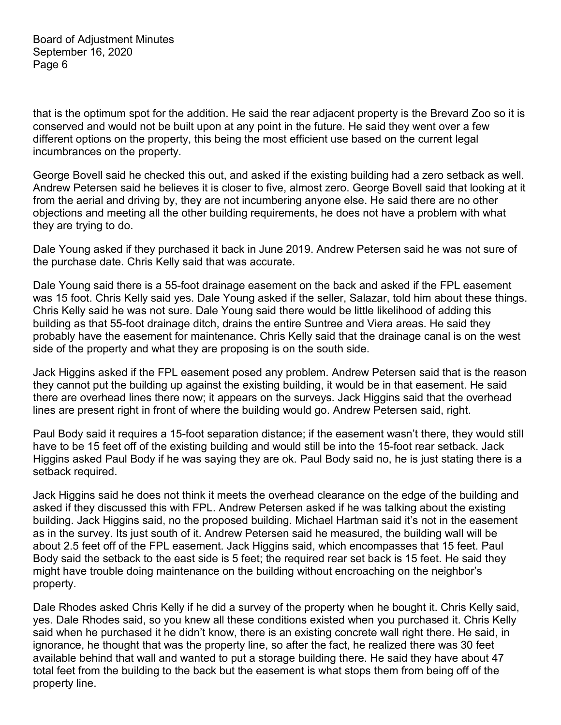that is the optimum spot for the addition. He said the rear adjacent property is the Brevard Zoo so it is conserved and would not be built upon at any point in the future. He said they went over a few different options on the property, this being the most efficient use based on the current legal incumbrances on the property.

George Bovell said he checked this out, and asked if the existing building had a zero setback as well. Andrew Petersen said he believes it is closer to five, almost zero. George Bovell said that looking at it from the aerial and driving by, they are not incumbering anyone else. He said there are no other objections and meeting all the other building requirements, he does not have a problem with what they are trying to do.

Dale Young asked if they purchased it back in June 2019. Andrew Petersen said he was not sure of the purchase date. Chris Kelly said that was accurate.

Dale Young said there is a 55-foot drainage easement on the back and asked if the FPL easement was 15 foot. Chris Kelly said yes. Dale Young asked if the seller, Salazar, told him about these things. Chris Kelly said he was not sure. Dale Young said there would be little likelihood of adding this building as that 55-foot drainage ditch, drains the entire Suntree and Viera areas. He said they probably have the easement for maintenance. Chris Kelly said that the drainage canal is on the west side of the property and what they are proposing is on the south side.

Jack Higgins asked if the FPL easement posed any problem. Andrew Petersen said that is the reason they cannot put the building up against the existing building, it would be in that easement. He said there are overhead lines there now; it appears on the surveys. Jack Higgins said that the overhead lines are present right in front of where the building would go. Andrew Petersen said, right.

Paul Body said it requires a 15-foot separation distance; if the easement wasn't there, they would still have to be 15 feet off of the existing building and would still be into the 15-foot rear setback. Jack Higgins asked Paul Body if he was saying they are ok. Paul Body said no, he is just stating there is a setback required.

Jack Higgins said he does not think it meets the overhead clearance on the edge of the building and asked if they discussed this with FPL. Andrew Petersen asked if he was talking about the existing building. Jack Higgins said, no the proposed building. Michael Hartman said it's not in the easement as in the survey. Its just south of it. Andrew Petersen said he measured, the building wall will be about 2.5 feet off of the FPL easement. Jack Higgins said, which encompasses that 15 feet. Paul Body said the setback to the east side is 5 feet; the required rear set back is 15 feet. He said they might have trouble doing maintenance on the building without encroaching on the neighbor's property.

Dale Rhodes asked Chris Kelly if he did a survey of the property when he bought it. Chris Kelly said, yes. Dale Rhodes said, so you knew all these conditions existed when you purchased it. Chris Kelly said when he purchased it he didn't know, there is an existing concrete wall right there. He said, in ignorance, he thought that was the property line, so after the fact, he realized there was 30 feet available behind that wall and wanted to put a storage building there. He said they have about 47 total feet from the building to the back but the easement is what stops them from being off of the property line.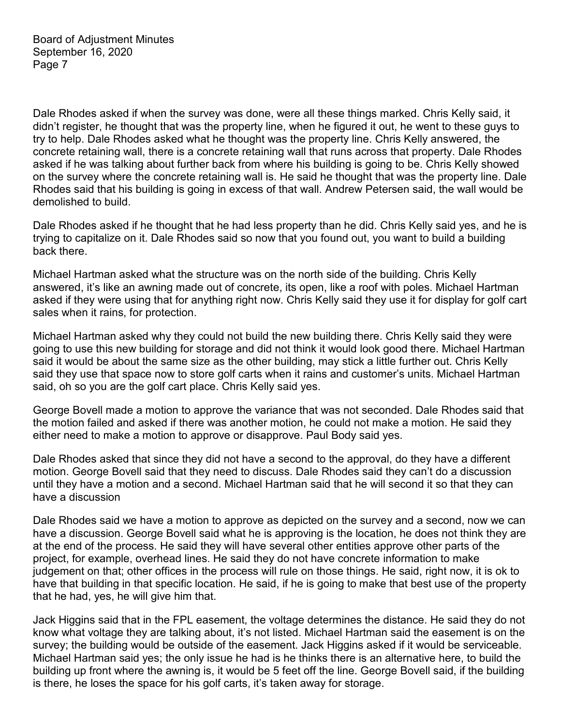Dale Rhodes asked if when the survey was done, were all these things marked. Chris Kelly said, it didn't register, he thought that was the property line, when he figured it out, he went to these guys to try to help. Dale Rhodes asked what he thought was the property line. Chris Kelly answered, the concrete retaining wall, there is a concrete retaining wall that runs across that property. Dale Rhodes asked if he was talking about further back from where his building is going to be. Chris Kelly showed on the survey where the concrete retaining wall is. He said he thought that was the property line. Dale Rhodes said that his building is going in excess of that wall. Andrew Petersen said, the wall would be demolished to build.

Dale Rhodes asked if he thought that he had less property than he did. Chris Kelly said yes, and he is trying to capitalize on it. Dale Rhodes said so now that you found out, you want to build a building back there.

Michael Hartman asked what the structure was on the north side of the building. Chris Kelly answered, it's like an awning made out of concrete, its open, like a roof with poles. Michael Hartman asked if they were using that for anything right now. Chris Kelly said they use it for display for golf cart sales when it rains, for protection.

Michael Hartman asked why they could not build the new building there. Chris Kelly said they were going to use this new building for storage and did not think it would look good there. Michael Hartman said it would be about the same size as the other building, may stick a little further out. Chris Kelly said they use that space now to store golf carts when it rains and customer's units. Michael Hartman said, oh so you are the golf cart place. Chris Kelly said yes.

George Bovell made a motion to approve the variance that was not seconded. Dale Rhodes said that the motion failed and asked if there was another motion, he could not make a motion. He said they either need to make a motion to approve or disapprove. Paul Body said yes.

Dale Rhodes asked that since they did not have a second to the approval, do they have a different motion. George Bovell said that they need to discuss. Dale Rhodes said they can't do a discussion until they have a motion and a second. Michael Hartman said that he will second it so that they can have a discussion

Dale Rhodes said we have a motion to approve as depicted on the survey and a second, now we can have a discussion. George Bovell said what he is approving is the location, he does not think they are at the end of the process. He said they will have several other entities approve other parts of the project, for example, overhead lines. He said they do not have concrete information to make judgement on that; other offices in the process will rule on those things. He said, right now, it is ok to have that building in that specific location. He said, if he is going to make that best use of the property that he had, yes, he will give him that.

Jack Higgins said that in the FPL easement, the voltage determines the distance. He said they do not know what voltage they are talking about, it's not listed. Michael Hartman said the easement is on the survey; the building would be outside of the easement. Jack Higgins asked if it would be serviceable. Michael Hartman said yes; the only issue he had is he thinks there is an alternative here, to build the building up front where the awning is, it would be 5 feet off the line. George Bovell said, if the building is there, he loses the space for his golf carts, it's taken away for storage.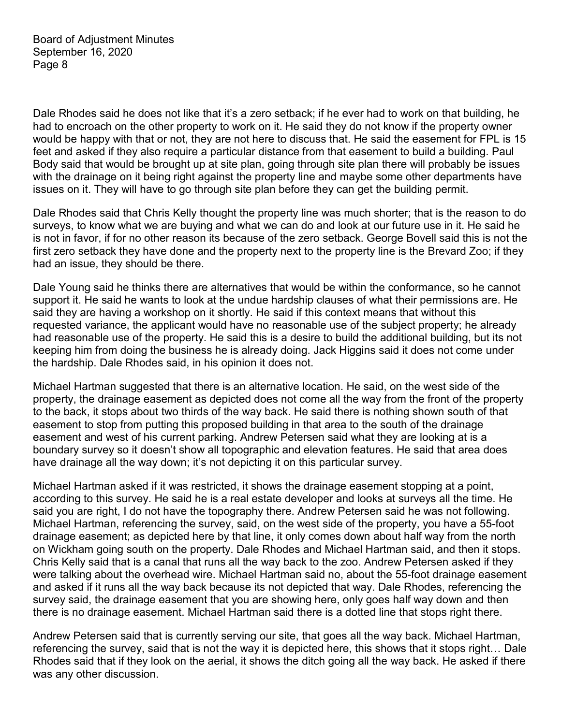Dale Rhodes said he does not like that it's a zero setback; if he ever had to work on that building, he had to encroach on the other property to work on it. He said they do not know if the property owner would be happy with that or not, they are not here to discuss that. He said the easement for FPL is 15 feet and asked if they also require a particular distance from that easement to build a building. Paul Body said that would be brought up at site plan, going through site plan there will probably be issues with the drainage on it being right against the property line and maybe some other departments have issues on it. They will have to go through site plan before they can get the building permit.

Dale Rhodes said that Chris Kelly thought the property line was much shorter; that is the reason to do surveys, to know what we are buying and what we can do and look at our future use in it. He said he is not in favor, if for no other reason its because of the zero setback. George Bovell said this is not the first zero setback they have done and the property next to the property line is the Brevard Zoo; if they had an issue, they should be there.

Dale Young said he thinks there are alternatives that would be within the conformance, so he cannot support it. He said he wants to look at the undue hardship clauses of what their permissions are. He said they are having a workshop on it shortly. He said if this context means that without this requested variance, the applicant would have no reasonable use of the subject property; he already had reasonable use of the property. He said this is a desire to build the additional building, but its not keeping him from doing the business he is already doing. Jack Higgins said it does not come under the hardship. Dale Rhodes said, in his opinion it does not.

Michael Hartman suggested that there is an alternative location. He said, on the west side of the property, the drainage easement as depicted does not come all the way from the front of the property to the back, it stops about two thirds of the way back. He said there is nothing shown south of that easement to stop from putting this proposed building in that area to the south of the drainage easement and west of his current parking. Andrew Petersen said what they are looking at is a boundary survey so it doesn't show all topographic and elevation features. He said that area does have drainage all the way down; it's not depicting it on this particular survey.

Michael Hartman asked if it was restricted, it shows the drainage easement stopping at a point, according to this survey. He said he is a real estate developer and looks at surveys all the time. He said you are right, I do not have the topography there. Andrew Petersen said he was not following. Michael Hartman, referencing the survey, said, on the west side of the property, you have a 55-foot drainage easement; as depicted here by that line, it only comes down about half way from the north on Wickham going south on the property. Dale Rhodes and Michael Hartman said, and then it stops. Chris Kelly said that is a canal that runs all the way back to the zoo. Andrew Petersen asked if they were talking about the overhead wire. Michael Hartman said no, about the 55-foot drainage easement and asked if it runs all the way back because its not depicted that way. Dale Rhodes, referencing the survey said, the drainage easement that you are showing here, only goes half way down and then there is no drainage easement. Michael Hartman said there is a dotted line that stops right there.

Andrew Petersen said that is currently serving our site, that goes all the way back. Michael Hartman, referencing the survey, said that is not the way it is depicted here, this shows that it stops right… Dale Rhodes said that if they look on the aerial, it shows the ditch going all the way back. He asked if there was any other discussion.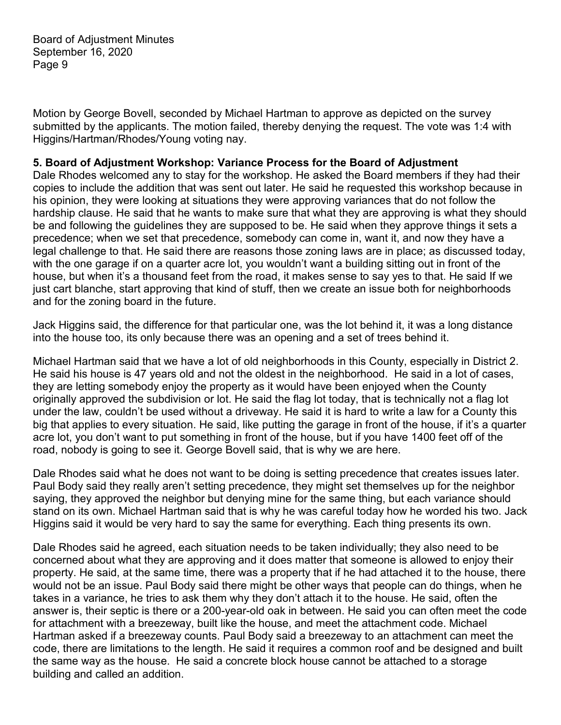Motion by George Bovell, seconded by Michael Hartman to approve as depicted on the survey submitted by the applicants. The motion failed, thereby denying the request. The vote was 1:4 with Higgins/Hartman/Rhodes/Young voting nay.

## **5. Board of Adjustment Workshop: Variance Process for the Board of Adjustment**

Dale Rhodes welcomed any to stay for the workshop. He asked the Board members if they had their copies to include the addition that was sent out later. He said he requested this workshop because in his opinion, they were looking at situations they were approving variances that do not follow the hardship clause. He said that he wants to make sure that what they are approving is what they should be and following the guidelines they are supposed to be. He said when they approve things it sets a precedence; when we set that precedence, somebody can come in, want it, and now they have a legal challenge to that. He said there are reasons those zoning laws are in place; as discussed today, with the one garage if on a quarter acre lot, you wouldn't want a building sitting out in front of the house, but when it's a thousand feet from the road, it makes sense to say yes to that. He said If we just cart blanche, start approving that kind of stuff, then we create an issue both for neighborhoods and for the zoning board in the future.

Jack Higgins said, the difference for that particular one, was the lot behind it, it was a long distance into the house too, its only because there was an opening and a set of trees behind it.

Michael Hartman said that we have a lot of old neighborhoods in this County, especially in District 2. He said his house is 47 years old and not the oldest in the neighborhood. He said in a lot of cases, they are letting somebody enjoy the property as it would have been enjoyed when the County originally approved the subdivision or lot. He said the flag lot today, that is technically not a flag lot under the law, couldn't be used without a driveway. He said it is hard to write a law for a County this big that applies to every situation. He said, like putting the garage in front of the house, if it's a quarter acre lot, you don't want to put something in front of the house, but if you have 1400 feet off of the road, nobody is going to see it. George Bovell said, that is why we are here.

Dale Rhodes said what he does not want to be doing is setting precedence that creates issues later. Paul Body said they really aren't setting precedence, they might set themselves up for the neighbor saying, they approved the neighbor but denying mine for the same thing, but each variance should stand on its own. Michael Hartman said that is why he was careful today how he worded his two. Jack Higgins said it would be very hard to say the same for everything. Each thing presents its own.

Dale Rhodes said he agreed, each situation needs to be taken individually; they also need to be concerned about what they are approving and it does matter that someone is allowed to enjoy their property. He said, at the same time, there was a property that if he had attached it to the house, there would not be an issue. Paul Body said there might be other ways that people can do things, when he takes in a variance, he tries to ask them why they don't attach it to the house. He said, often the answer is, their septic is there or a 200-year-old oak in between. He said you can often meet the code for attachment with a breezeway, built like the house, and meet the attachment code. Michael Hartman asked if a breezeway counts. Paul Body said a breezeway to an attachment can meet the code, there are limitations to the length. He said it requires a common roof and be designed and built the same way as the house. He said a concrete block house cannot be attached to a storage building and called an addition.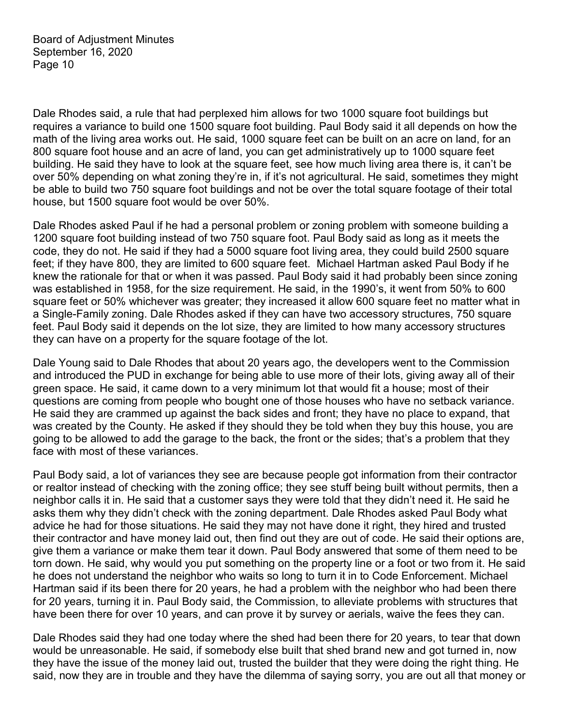Dale Rhodes said, a rule that had perplexed him allows for two 1000 square foot buildings but requires a variance to build one 1500 square foot building. Paul Body said it all depends on how the math of the living area works out. He said, 1000 square feet can be built on an acre on land, for an 800 square foot house and an acre of land, you can get administratively up to 1000 square feet building. He said they have to look at the square feet, see how much living area there is, it can't be over 50% depending on what zoning they're in, if it's not agricultural. He said, sometimes they might be able to build two 750 square foot buildings and not be over the total square footage of their total house, but 1500 square foot would be over 50%.

Dale Rhodes asked Paul if he had a personal problem or zoning problem with someone building a 1200 square foot building instead of two 750 square foot. Paul Body said as long as it meets the code, they do not. He said if they had a 5000 square foot living area, they could build 2500 square feet; if they have 800, they are limited to 600 square feet. Michael Hartman asked Paul Body if he knew the rationale for that or when it was passed. Paul Body said it had probably been since zoning was established in 1958, for the size requirement. He said, in the 1990's, it went from 50% to 600 square feet or 50% whichever was greater; they increased it allow 600 square feet no matter what in a Single-Family zoning. Dale Rhodes asked if they can have two accessory structures, 750 square feet. Paul Body said it depends on the lot size, they are limited to how many accessory structures they can have on a property for the square footage of the lot.

Dale Young said to Dale Rhodes that about 20 years ago, the developers went to the Commission and introduced the PUD in exchange for being able to use more of their lots, giving away all of their green space. He said, it came down to a very minimum lot that would fit a house; most of their questions are coming from people who bought one of those houses who have no setback variance. He said they are crammed up against the back sides and front; they have no place to expand, that was created by the County. He asked if they should they be told when they buy this house, you are going to be allowed to add the garage to the back, the front or the sides; that's a problem that they face with most of these variances.

Paul Body said, a lot of variances they see are because people got information from their contractor or realtor instead of checking with the zoning office; they see stuff being built without permits, then a neighbor calls it in. He said that a customer says they were told that they didn't need it. He said he asks them why they didn't check with the zoning department. Dale Rhodes asked Paul Body what advice he had for those situations. He said they may not have done it right, they hired and trusted their contractor and have money laid out, then find out they are out of code. He said their options are, give them a variance or make them tear it down. Paul Body answered that some of them need to be torn down. He said, why would you put something on the property line or a foot or two from it. He said he does not understand the neighbor who waits so long to turn it in to Code Enforcement. Michael Hartman said if its been there for 20 years, he had a problem with the neighbor who had been there for 20 years, turning it in. Paul Body said, the Commission, to alleviate problems with structures that have been there for over 10 years, and can prove it by survey or aerials, waive the fees they can.

Dale Rhodes said they had one today where the shed had been there for 20 years, to tear that down would be unreasonable. He said, if somebody else built that shed brand new and got turned in, now they have the issue of the money laid out, trusted the builder that they were doing the right thing. He said, now they are in trouble and they have the dilemma of saying sorry, you are out all that money or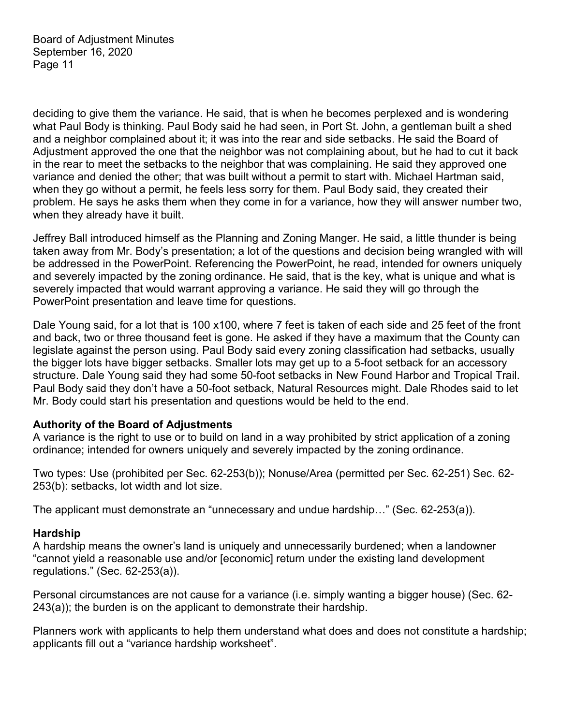deciding to give them the variance. He said, that is when he becomes perplexed and is wondering what Paul Body is thinking. Paul Body said he had seen, in Port St. John, a gentleman built a shed and a neighbor complained about it; it was into the rear and side setbacks. He said the Board of Adjustment approved the one that the neighbor was not complaining about, but he had to cut it back in the rear to meet the setbacks to the neighbor that was complaining. He said they approved one variance and denied the other; that was built without a permit to start with. Michael Hartman said, when they go without a permit, he feels less sorry for them. Paul Body said, they created their problem. He says he asks them when they come in for a variance, how they will answer number two, when they already have it built.

Jeffrey Ball introduced himself as the Planning and Zoning Manger. He said, a little thunder is being taken away from Mr. Body's presentation; a lot of the questions and decision being wrangled with will be addressed in the PowerPoint. Referencing the PowerPoint, he read, intended for owners uniquely and severely impacted by the zoning ordinance. He said, that is the key, what is unique and what is severely impacted that would warrant approving a variance. He said they will go through the PowerPoint presentation and leave time for questions.

Dale Young said, for a lot that is 100 x100, where 7 feet is taken of each side and 25 feet of the front and back, two or three thousand feet is gone. He asked if they have a maximum that the County can legislate against the person using. Paul Body said every zoning classification had setbacks, usually the bigger lots have bigger setbacks. Smaller lots may get up to a 5-foot setback for an accessory structure. Dale Young said they had some 50-foot setbacks in New Found Harbor and Tropical Trail. Paul Body said they don't have a 50-foot setback, Natural Resources might. Dale Rhodes said to let Mr. Body could start his presentation and questions would be held to the end.

#### **Authority of the Board of Adjustments**

A variance is the right to use or to build on land in a way prohibited by strict application of a zoning ordinance; intended for owners uniquely and severely impacted by the zoning ordinance.

Two types: Use (prohibited per Sec. 62-253(b)); Nonuse/Area (permitted per Sec. 62-251) Sec. 62- 253(b): setbacks, lot width and lot size.

The applicant must demonstrate an "unnecessary and undue hardship…" (Sec. 62-253(a)).

#### **Hardship**

A hardship means the owner's land is uniquely and unnecessarily burdened; when a landowner "cannot yield a reasonable use and/or [economic] return under the existing land development regulations." (Sec. 62-253(a)).

Personal circumstances are not cause for a variance (i.e. simply wanting a bigger house) (Sec. 62- 243(a)); the burden is on the applicant to demonstrate their hardship.

Planners work with applicants to help them understand what does and does not constitute a hardship; applicants fill out a "variance hardship worksheet".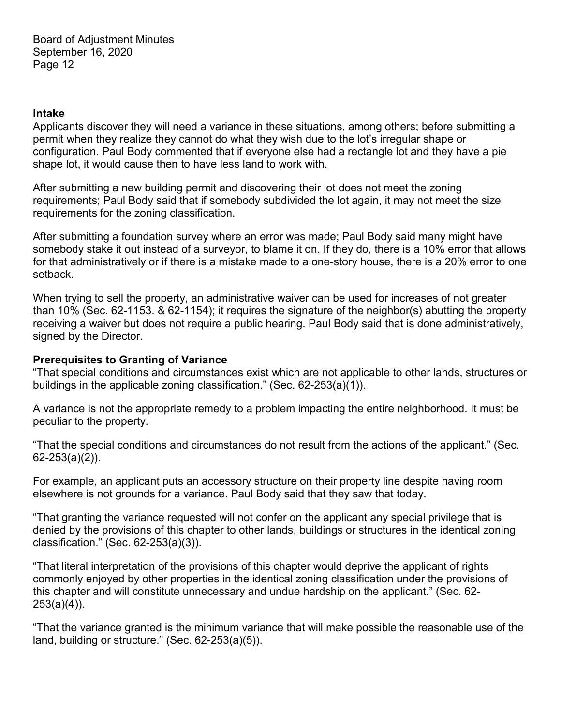#### **Intake**

Applicants discover they will need a variance in these situations, among others; before submitting a permit when they realize they cannot do what they wish due to the lot's irregular shape or configuration. Paul Body commented that if everyone else had a rectangle lot and they have a pie shape lot, it would cause then to have less land to work with.

After submitting a new building permit and discovering their lot does not meet the zoning requirements; Paul Body said that if somebody subdivided the lot again, it may not meet the size requirements for the zoning classification.

After submitting a foundation survey where an error was made; Paul Body said many might have somebody stake it out instead of a surveyor, to blame it on. If they do, there is a 10% error that allows for that administratively or if there is a mistake made to a one-story house, there is a 20% error to one setback.

When trying to sell the property, an administrative waiver can be used for increases of not greater than 10% (Sec. 62-1153. & 62-1154); it requires the signature of the neighbor(s) abutting the property receiving a waiver but does not require a public hearing. Paul Body said that is done administratively, signed by the Director.

## **Prerequisites to Granting of Variance**

"That special conditions and circumstances exist which are not applicable to other lands, structures or buildings in the applicable zoning classification." (Sec. 62-253(a)(1)).

A variance is not the appropriate remedy to a problem impacting the entire neighborhood. It must be peculiar to the property.

"That the special conditions and circumstances do not result from the actions of the applicant." (Sec. 62-253(a)(2)).

For example, an applicant puts an accessory structure on their property line despite having room elsewhere is not grounds for a variance. Paul Body said that they saw that today.

"That granting the variance requested will not confer on the applicant any special privilege that is denied by the provisions of this chapter to other lands, buildings or structures in the identical zoning classification." (Sec. 62-253(a)(3)).

"That literal interpretation of the provisions of this chapter would deprive the applicant of rights commonly enjoyed by other properties in the identical zoning classification under the provisions of this chapter and will constitute unnecessary and undue hardship on the applicant." (Sec. 62- 253(a)(4)).

"That the variance granted is the minimum variance that will make possible the reasonable use of the land, building or structure." (Sec. 62-253(a)(5)).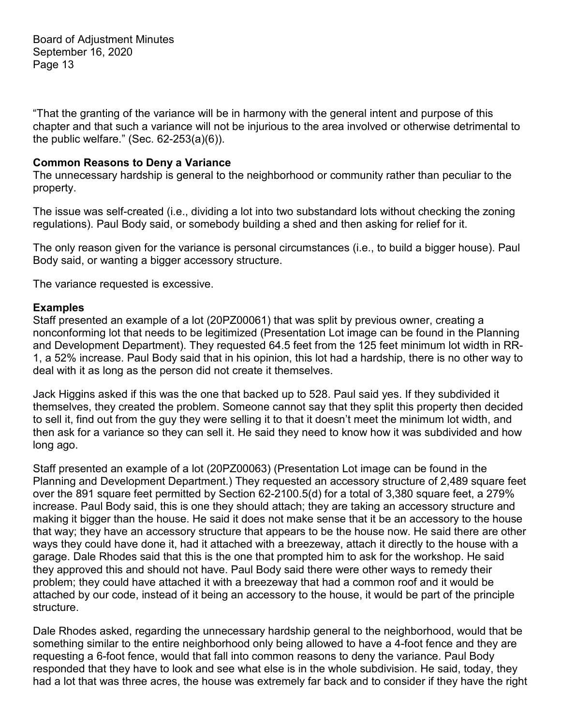"That the granting of the variance will be in harmony with the general intent and purpose of this chapter and that such a variance will not be injurious to the area involved or otherwise detrimental to the public welfare." (Sec. 62-253(a)(6)).

## **Common Reasons to Deny a Variance**

The unnecessary hardship is general to the neighborhood or community rather than peculiar to the property.

The issue was self-created (i.e., dividing a lot into two substandard lots without checking the zoning regulations). Paul Body said, or somebody building a shed and then asking for relief for it.

The only reason given for the variance is personal circumstances (i.e., to build a bigger house). Paul Body said, or wanting a bigger accessory structure.

The variance requested is excessive.

### **Examples**

Staff presented an example of a lot (20PZ00061) that was split by previous owner, creating a nonconforming lot that needs to be legitimized (Presentation Lot image can be found in the Planning and Development Department). They requested 64.5 feet from the 125 feet minimum lot width in RR-1, a 52% increase. Paul Body said that in his opinion, this lot had a hardship, there is no other way to deal with it as long as the person did not create it themselves.

Jack Higgins asked if this was the one that backed up to 528. Paul said yes. If they subdivided it themselves, they created the problem. Someone cannot say that they split this property then decided to sell it, find out from the guy they were selling it to that it doesn't meet the minimum lot width, and then ask for a variance so they can sell it. He said they need to know how it was subdivided and how long ago.

Staff presented an example of a lot (20PZ00063) (Presentation Lot image can be found in the Planning and Development Department.) They requested an accessory structure of 2,489 square feet over the 891 square feet permitted by Section 62-2100.5(d) for a total of 3,380 square feet, a 279% increase. Paul Body said, this is one they should attach; they are taking an accessory structure and making it bigger than the house. He said it does not make sense that it be an accessory to the house that way; they have an accessory structure that appears to be the house now. He said there are other ways they could have done it, had it attached with a breezeway, attach it directly to the house with a garage. Dale Rhodes said that this is the one that prompted him to ask for the workshop. He said they approved this and should not have. Paul Body said there were other ways to remedy their problem; they could have attached it with a breezeway that had a common roof and it would be attached by our code, instead of it being an accessory to the house, it would be part of the principle structure.

Dale Rhodes asked, regarding the unnecessary hardship general to the neighborhood, would that be something similar to the entire neighborhood only being allowed to have a 4-foot fence and they are requesting a 6-foot fence, would that fall into common reasons to deny the variance. Paul Body responded that they have to look and see what else is in the whole subdivision. He said, today, they had a lot that was three acres, the house was extremely far back and to consider if they have the right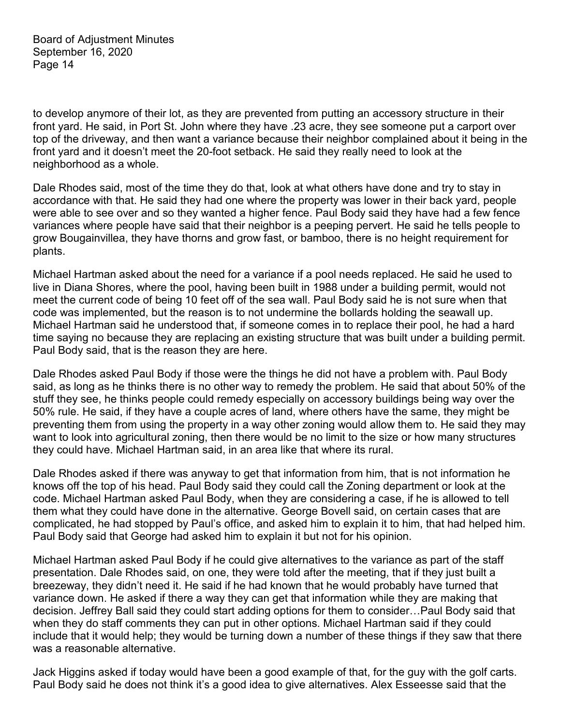to develop anymore of their lot, as they are prevented from putting an accessory structure in their front yard. He said, in Port St. John where they have .23 acre, they see someone put a carport over top of the driveway, and then want a variance because their neighbor complained about it being in the front yard and it doesn't meet the 20-foot setback. He said they really need to look at the neighborhood as a whole.

Dale Rhodes said, most of the time they do that, look at what others have done and try to stay in accordance with that. He said they had one where the property was lower in their back yard, people were able to see over and so they wanted a higher fence. Paul Body said they have had a few fence variances where people have said that their neighbor is a peeping pervert. He said he tells people to grow Bougainvillea, they have thorns and grow fast, or bamboo, there is no height requirement for plants.

Michael Hartman asked about the need for a variance if a pool needs replaced. He said he used to live in Diana Shores, where the pool, having been built in 1988 under a building permit, would not meet the current code of being 10 feet off of the sea wall. Paul Body said he is not sure when that code was implemented, but the reason is to not undermine the bollards holding the seawall up. Michael Hartman said he understood that, if someone comes in to replace their pool, he had a hard time saying no because they are replacing an existing structure that was built under a building permit. Paul Body said, that is the reason they are here.

Dale Rhodes asked Paul Body if those were the things he did not have a problem with. Paul Body said, as long as he thinks there is no other way to remedy the problem. He said that about 50% of the stuff they see, he thinks people could remedy especially on accessory buildings being way over the 50% rule. He said, if they have a couple acres of land, where others have the same, they might be preventing them from using the property in a way other zoning would allow them to. He said they may want to look into agricultural zoning, then there would be no limit to the size or how many structures they could have. Michael Hartman said, in an area like that where its rural.

Dale Rhodes asked if there was anyway to get that information from him, that is not information he knows off the top of his head. Paul Body said they could call the Zoning department or look at the code. Michael Hartman asked Paul Body, when they are considering a case, if he is allowed to tell them what they could have done in the alternative. George Bovell said, on certain cases that are complicated, he had stopped by Paul's office, and asked him to explain it to him, that had helped him. Paul Body said that George had asked him to explain it but not for his opinion.

Michael Hartman asked Paul Body if he could give alternatives to the variance as part of the staff presentation. Dale Rhodes said, on one, they were told after the meeting, that if they just built a breezeway, they didn't need it. He said if he had known that he would probably have turned that variance down. He asked if there a way they can get that information while they are making that decision. Jeffrey Ball said they could start adding options for them to consider…Paul Body said that when they do staff comments they can put in other options. Michael Hartman said if they could include that it would help; they would be turning down a number of these things if they saw that there was a reasonable alternative.

Jack Higgins asked if today would have been a good example of that, for the guy with the golf carts. Paul Body said he does not think it's a good idea to give alternatives. Alex Esseesse said that the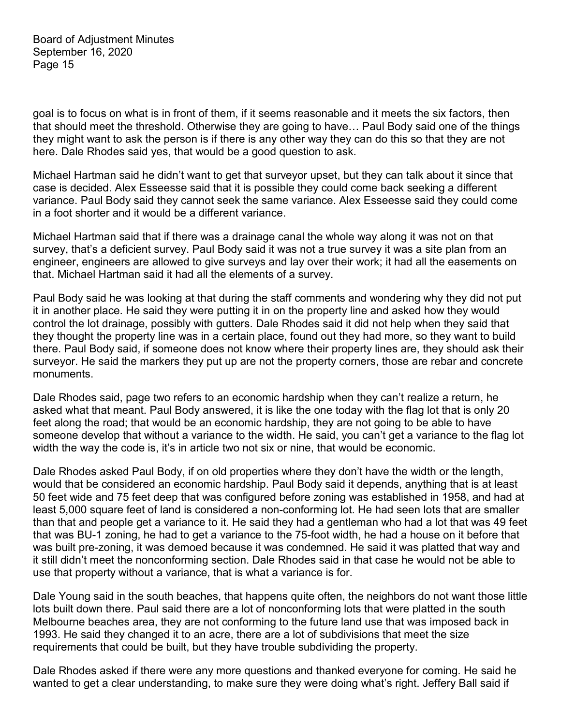goal is to focus on what is in front of them, if it seems reasonable and it meets the six factors, then that should meet the threshold. Otherwise they are going to have… Paul Body said one of the things they might want to ask the person is if there is any other way they can do this so that they are not here. Dale Rhodes said yes, that would be a good question to ask.

Michael Hartman said he didn't want to get that surveyor upset, but they can talk about it since that case is decided. Alex Esseesse said that it is possible they could come back seeking a different variance. Paul Body said they cannot seek the same variance. Alex Esseesse said they could come in a foot shorter and it would be a different variance.

Michael Hartman said that if there was a drainage canal the whole way along it was not on that survey, that's a deficient survey. Paul Body said it was not a true survey it was a site plan from an engineer, engineers are allowed to give surveys and lay over their work; it had all the easements on that. Michael Hartman said it had all the elements of a survey.

Paul Body said he was looking at that during the staff comments and wondering why they did not put it in another place. He said they were putting it in on the property line and asked how they would control the lot drainage, possibly with gutters. Dale Rhodes said it did not help when they said that they thought the property line was in a certain place, found out they had more, so they want to build there. Paul Body said, if someone does not know where their property lines are, they should ask their surveyor. He said the markers they put up are not the property corners, those are rebar and concrete monuments.

Dale Rhodes said, page two refers to an economic hardship when they can't realize a return, he asked what that meant. Paul Body answered, it is like the one today with the flag lot that is only 20 feet along the road; that would be an economic hardship, they are not going to be able to have someone develop that without a variance to the width. He said, you can't get a variance to the flag lot width the way the code is, it's in article two not six or nine, that would be economic.

Dale Rhodes asked Paul Body, if on old properties where they don't have the width or the length, would that be considered an economic hardship. Paul Body said it depends, anything that is at least 50 feet wide and 75 feet deep that was configured before zoning was established in 1958, and had at least 5,000 square feet of land is considered a non-conforming lot. He had seen lots that are smaller than that and people get a variance to it. He said they had a gentleman who had a lot that was 49 feet that was BU-1 zoning, he had to get a variance to the 75-foot width, he had a house on it before that was built pre-zoning, it was demoed because it was condemned. He said it was platted that way and it still didn't meet the nonconforming section. Dale Rhodes said in that case he would not be able to use that property without a variance, that is what a variance is for.

Dale Young said in the south beaches, that happens quite often, the neighbors do not want those little lots built down there. Paul said there are a lot of nonconforming lots that were platted in the south Melbourne beaches area, they are not conforming to the future land use that was imposed back in 1993. He said they changed it to an acre, there are a lot of subdivisions that meet the size requirements that could be built, but they have trouble subdividing the property.

Dale Rhodes asked if there were any more questions and thanked everyone for coming. He said he wanted to get a clear understanding, to make sure they were doing what's right. Jeffery Ball said if